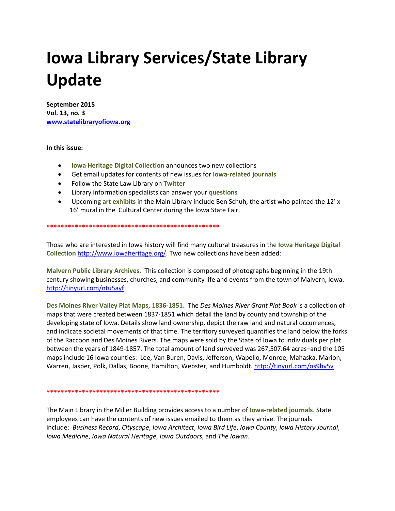## **Iowa Library Services/State Library Update**

**September 2015 Vol. 13, no. 3 [www.statelibraryofiowa.org](http://www.statelibraryofiowa.org/)**

## **In this issue:**

- **Iowa Heritage Digital Collection** announces two new collections
- Get email updates for contents of new issues for **Iowa-related journals**
- Follow the State Law Library on **Twitter**
- Library information specialists can answer your **questions**
- Upcoming **art exhibits** in the Main Library include Ben Schuh, the artist who painted the 12' x 16' mural in the Cultural Center during the Iowa State Fair.

**\*\*\*\*\*\*\*\*\*\*\*\*\*\*\*\*\*\*\*\*\*\*\*\*\*\*\*\*\*\*\*\*\*\*\*\*\*\*\*\*\*\*\*\*\*\*\*\*\***

Those who are interested in Iowa history will find many cultural treasures in the **Iowa Heritage Digital Collection** [http://www.iowaheritage.org/.](http://www.iowaheritage.org/) Two new collections have been added:

**Malvern Public Library Archives.** This collection is composed of photographs beginning in the 19th century showing businesses, churches, and community life and events from the town of Malvern, Iowa. <http://tinyurl.com/ntu5ayf>

**Des Moines River Valley Plat Maps, 1836-1851.** The *Des Moines River Grant Plat Book* is a collection of maps that were created between 1837-1851 which detail the land by county and township of the developing state of Iowa. Details show land ownership, depict the raw land and natural occurrences, and indicate societal movements of that time. The territory surveyed quantifies the land below the forks of the Raccoon and Des Moines Rivers. The maps were sold by the State of Iowa to individuals per plat between the years of 1849-1857. The total amount of land surveyed was 267,507.64 acres–and the 105 maps include 16 Iowa counties: Lee, Van Buren, Davis, Jefferson, Wapello, Monroe, Mahaska, Marion, Warren, Jasper, Polk, Dallas, Boone, Hamilton, Webster, and Humboldt.<http://tinyurl.com/os9hv5v>

## **\*\*\*\*\*\*\*\*\*\*\*\*\*\*\*\*\*\*\*\*\*\*\*\*\*\*\*\*\*\*\*\*\*\*\*\*\*\*\*\*\*\*\*\*\*\*\*\*\***

The Main Library in the Miller Building provides access to a number of **Iowa-related journals**. State employees can have the contents of new issues emailed to them as they arrive. The journals include: *Business Record*, *Cityscape*, *Iowa Architect*, *Iowa Bird Life*, *Iowa County*, *Iowa History Journal*, *Iowa Medicine*, *Iowa Natural Heritage*, *Iowa Outdoors*, and *The Iowan*.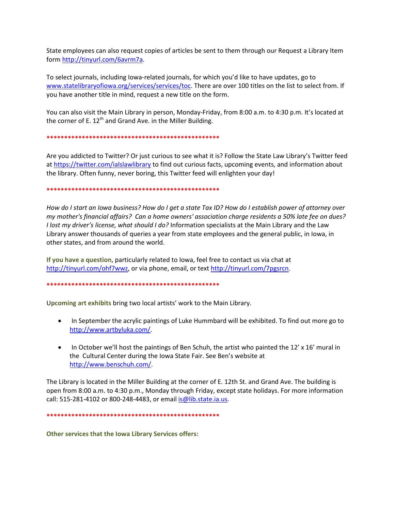State employees can also request copies of articles be sent to them through our Request a Library Item form [http://tinyurl.com/6avrm7a.](http://tinyurl.com/6avrm7a)

To select journals, including Iowa-related journals, for which you'd like to have updates, go to [www.statelibraryofiowa.org/services/services/toc.](http://www.statelibraryofiowa.org/services/services/toc) There are over 100 titles on the list to select from. If you have another title in mind, request a new title on the form.

You can also visit the Main Library in person, Monday-Friday, from 8:00 a.m. to 4:30 p.m. It's located at the corner of E.  $12<sup>th</sup>$  and Grand Ave. in the Miller Building.

**\*\*\*\*\*\*\*\*\*\*\*\*\*\*\*\*\*\*\*\*\*\*\*\*\*\*\*\*\*\*\*\*\*\*\*\*\*\*\*\*\*\*\*\*\*\*\*\*\***

Are you addicted to Twitter? Or just curious to see what it is? Follow the State Law Library's Twitter feed at<https://twitter.com/ialslawlibrary> to find out curious facts, upcoming events, and information about the library. Often funny, never boring, this Twitter feed will enlighten your day!

**\*\*\*\*\*\*\*\*\*\*\*\*\*\*\*\*\*\*\*\*\*\*\*\*\*\*\*\*\*\*\*\*\*\*\*\*\*\*\*\*\*\*\*\*\*\*\*\*\***

*How do I start an Iowa business? How do I get a state Tax ID? How do I establish power of attorney over my mother's financial affairs? Can a home owners' association charge residents a 50% late fee on dues? I lost my driver's license, what should I do?* Information specialists at the Main Library and the Law Library answer thousands of queries a year from state employees and the general public, in Iowa, in other states, and from around the world.

**If you have a question**, particularly related to Iowa, feel free to contact us via chat at [http://tinyurl.com/ohf7wwz,](http://tinyurl.com/ohf7wwz) or via phone, email, or text [http://tinyurl.com/7pgsrcn.](http://tinyurl.com/7pgsrcn)

**\*\*\*\*\*\*\*\*\*\*\*\*\*\*\*\*\*\*\*\*\*\*\*\*\*\*\*\*\*\*\*\*\*\*\*\*\*\*\*\*\*\*\*\*\*\*\*\*\***

U**pcoming art exhibits** bring two local artists' work to the Main Library.

- In September the acrylic paintings of Luke Hummbard will be exhibited. To find out more go to [http://www.artbyluka.com/.](http://www.artbyluka.com/)
- In October we'll host the paintings of Ben Schuh, the artist who painted the 12' x 16' mural in the Cultural Center during the Iowa State Fair. See Ben's website at [http://www.benschuh.com/.](http://www.benschuh.com/)

The Library is located in the Miller Building at the corner of E. 12th St. and Grand Ave. The building is open from 8:00 a.m. to 4:30 p.m., Monday through Friday, except state holidays. For more information call: 515-281-4102 or 800-248-4483, or email is @lib.state.ia.us.

**\*\*\*\*\*\*\*\*\*\*\*\*\*\*\*\*\*\*\*\*\*\*\*\*\*\*\*\*\*\*\*\*\*\*\*\*\*\*\*\*\*\*\*\*\*\*\*\*\***

**Other services that the Iowa Library Services offers:**